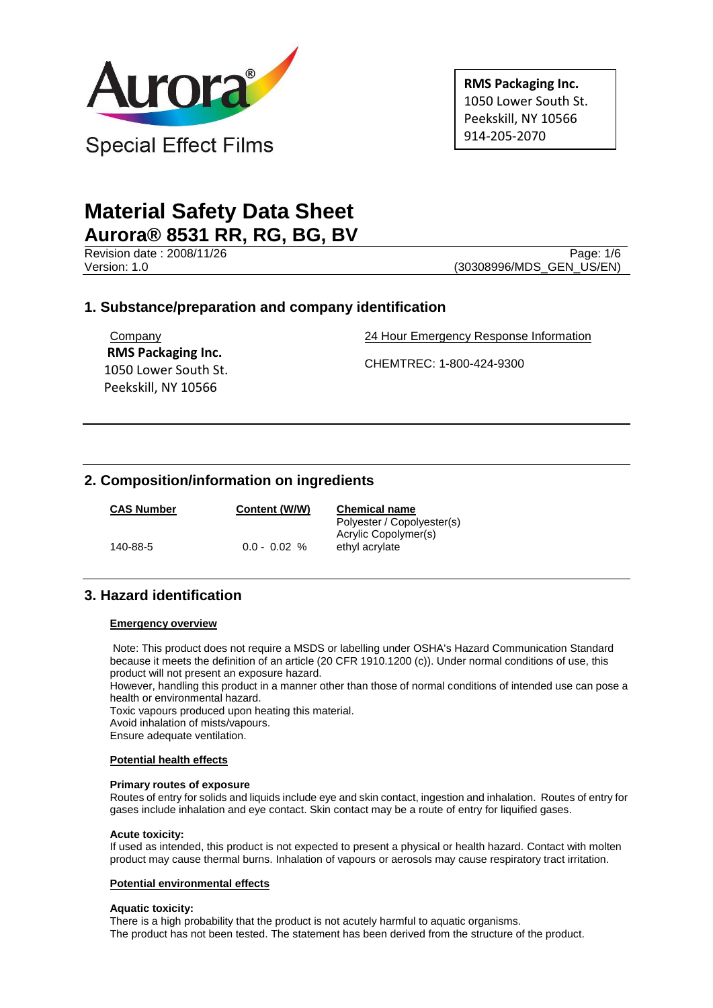

**RMS Packaging Inc.** 1050 Lower South St. Peekskill, NY 10566 914-205-2070

# **Material Safety Data Sheet Aurora® 8531 RR, RG, BG, BV**

Revision date : 2008/11/26 Page: 1/6<br>Version: 1.0 (30308996/MDS GEN US/EN) (30308996/MDS\_GEN\_US/EN)

# **1. Substance/preparation and company identification**

Company  **RMS Packaging Inc.** 1050 Lower South St. Peekskill, NY 10566

24 Hour Emergency Response Information

CHEMTREC: 1-800-424-9300

# **2. Composition/information on ingredients**

| <b>CAS Number</b> | Content (W/W)  | <b>Chemical name</b><br>Polyester / Copolyester(s) |
|-------------------|----------------|----------------------------------------------------|
| 140-88-5          | $0.0 - 0.02 %$ | Acrylic Copolymer(s)<br>ethyl acrylate             |

# **3. Hazard identification**

### **Emergency overview**

Note: This product does not require a MSDS or labelling under OSHA's Hazard Communication Standard because it meets the definition of an article (20 CFR 1910.1200 (c)). Under normal conditions of use, this product will not present an exposure hazard.

However, handling this product in a manner other than those of normal conditions of intended use can pose a health or environmental hazard.

Toxic vapours produced upon heating this material.

Avoid inhalation of mists/vapours.

Ensure adequate ventilation.

### **Potential health effects**

### **Primary routes of exposure**

Routes of entry for solids and liquids include eye and skin contact, ingestion and inhalation. Routes of entry for gases include inhalation and eye contact. Skin contact may be a route of entry for liquified gases.

### **Acute toxicity:**

If used as intended, this product is not expected to present a physical or health hazard. Contact with molten product may cause thermal burns. Inhalation of vapours or aerosols may cause respiratory tract irritation.

### **Potential environmental effects**

#### **Aquatic toxicity:**

There is a high probability that the product is not acutely harmful to aquatic organisms. The product has not been tested. The statement has been derived from the structure of the product.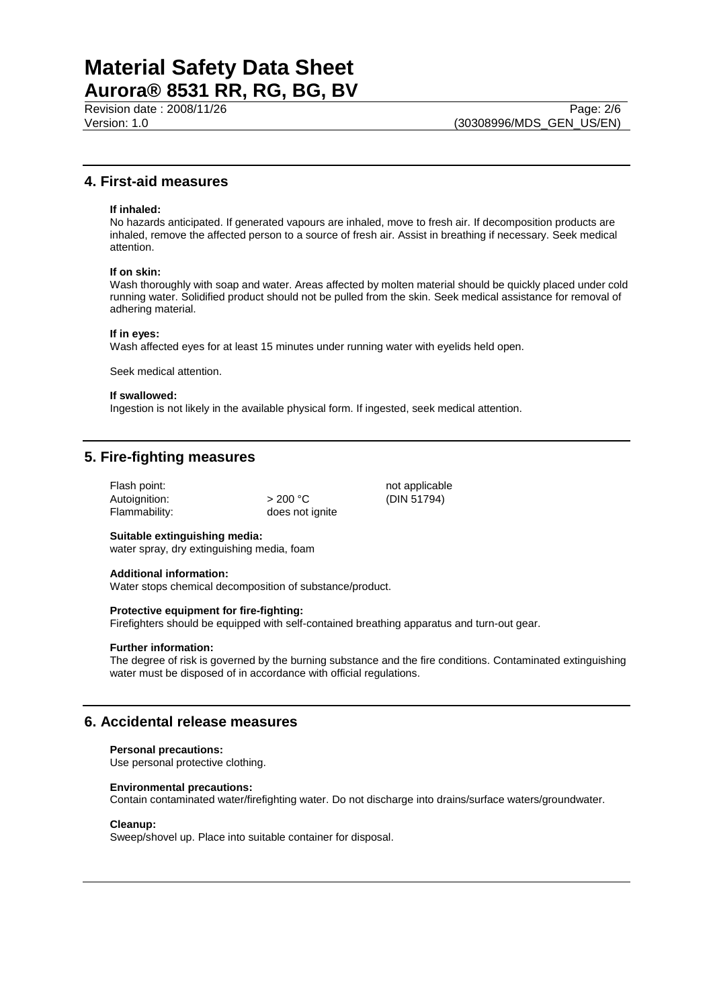## **4. First-aid measures**

#### **If inhaled:**

No hazards anticipated. If generated vapours are inhaled, move to fresh air. If decomposition products are inhaled, remove the affected person to a source of fresh air. Assist in breathing if necessary. Seek medical attention.

#### **If on skin:**

Wash thoroughly with soap and water. Areas affected by molten material should be quickly placed under cold running water. Solidified product should not be pulled from the skin. Seek medical assistance for removal of adhering material.

#### **If in eyes:**

Wash affected eyes for at least 15 minutes under running water with eyelids held open.

Seek medical attention.

#### **If swallowed:**

Ingestion is not likely in the available physical form. If ingested, seek medical attention.

does not ignite

## **5. Fire-fighting measures**

Flash point: not applicable Autoignition:  $> 200 °C$  (DIN 51794)<br>Flammability: does not ignite

### **Suitable extinguishing media:**

water spray, dry extinguishing media, foam

#### **Additional information:**

Water stops chemical decomposition of substance/product.

#### **Protective equipment for fire-fighting:**

Firefighters should be equipped with self-contained breathing apparatus and turn-out gear.

#### **Further information:**

The degree of risk is governed by the burning substance and the fire conditions. Contaminated extinguishing water must be disposed of in accordance with official regulations.

## **6. Accidental release measures**

#### **Personal precautions:**

Use personal protective clothing.

#### **Environmental precautions:**

Contain contaminated water/firefighting water. Do not discharge into drains/surface waters/groundwater.

#### **Cleanup:**

Sweep/shovel up. Place into suitable container for disposal.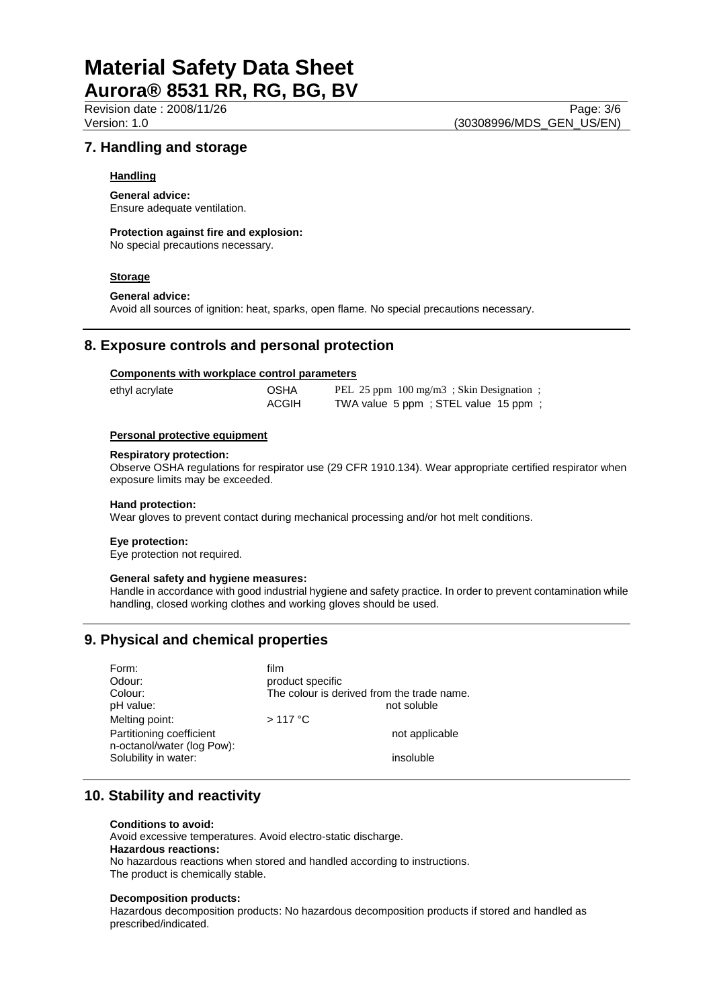## **7. Handling and storage**

## **Handling**

## **General advice:**

Ensure adequate ventilation.

### **Protection against fire and explosion:**

No special precautions necessary.

#### **Storage**

### **General advice:**

Avoid all sources of ignition: heat, sparks, open flame. No special precautions necessary.

## **8. Exposure controls and personal protection**

### **Components with workplace control parameters**

| ethyl acrylate | <b>OSHA</b> | PEL 25 ppm 100 mg/m3; Skin Designation; |
|----------------|-------------|-----------------------------------------|
|                | ACGIH       | TWA value 5 ppm; STEL value 15 ppm;     |

#### **Personal protective equipment**

#### **Respiratory protection:**

Observe OSHA regulations for respirator use (29 CFR 1910.134). Wear appropriate certified respirator when exposure limits may be exceeded.

# **Hand protection:**

Wear gloves to prevent contact during mechanical processing and/or hot melt conditions.

#### **Eye protection:**

Eye protection not required.

#### **General safety and hygiene measures:**

Handle in accordance with good industrial hygiene and safety practice. In order to prevent contamination while handling, closed working clothes and working gloves should be used.

# **9. Physical and chemical properties**

| Form:                      | film                                       |
|----------------------------|--------------------------------------------|
| Odour:                     | product specific                           |
| Colour:                    | The colour is derived from the trade name. |
| pH value:                  | not soluble                                |
| Melting point:             | $>117$ °C                                  |
| Partitioning coefficient   | not applicable                             |
| n-octanol/water (log Pow): |                                            |
| Solubility in water:       | insoluble                                  |
|                            |                                            |

# **10. Stability and reactivity**

#### **Conditions to avoid:**

Avoid excessive temperatures. Avoid electro-static discharge. **Hazardous reactions:** No hazardous reactions when stored and handled according to instructions. The product is chemically stable.

#### **Decomposition products:**

Hazardous decomposition products: No hazardous decomposition products if stored and handled as prescribed/indicated.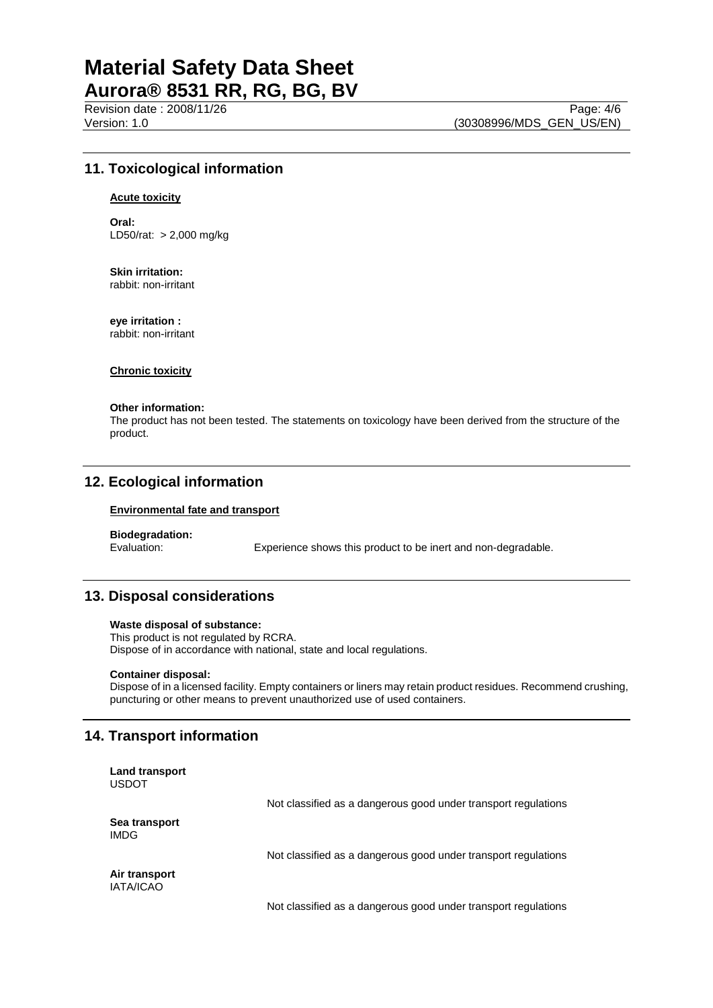Revision date : 2008/11/26 Page: 4/6 Version: 1.0 (30308996/MDS\_GEN\_US/EN)

# **11. Toxicological information**

#### **Acute toxicity**

**Oral:** LD50/rat: > 2,000 mg/kg

**Skin irritation:** rabbit: non-irritant

**eye irritation :** rabbit: non-irritant

**Chronic toxicity**

#### **Other information:**

The product has not been tested. The statements on toxicology have been derived from the structure of the product.

## **12. Ecological information**

#### **Environmental fate and transport**

# **Biodegradation:**

Experience shows this product to be inert and non-degradable.

## **13. Disposal considerations**

#### **Waste disposal of substance:**

This product is not regulated by RCRA. Dispose of in accordance with national, state and local regulations.

#### **Container disposal:**

Dispose of in a licensed facility. Empty containers or liners may retain product residues. Recommend crushing, puncturing or other means to prevent unauthorized use of used containers.

## **14. Transport information**

| <b>Land transport</b><br><b>USDOT</b> |                                                                |
|---------------------------------------|----------------------------------------------------------------|
|                                       | Not classified as a dangerous good under transport regulations |
| Sea transport<br><b>IMDG</b>          |                                                                |
|                                       | Not classified as a dangerous good under transport regulations |
| Air transport<br><b>IATA/ICAO</b>     |                                                                |
|                                       | Not classified as a dangerous good under transport regulations |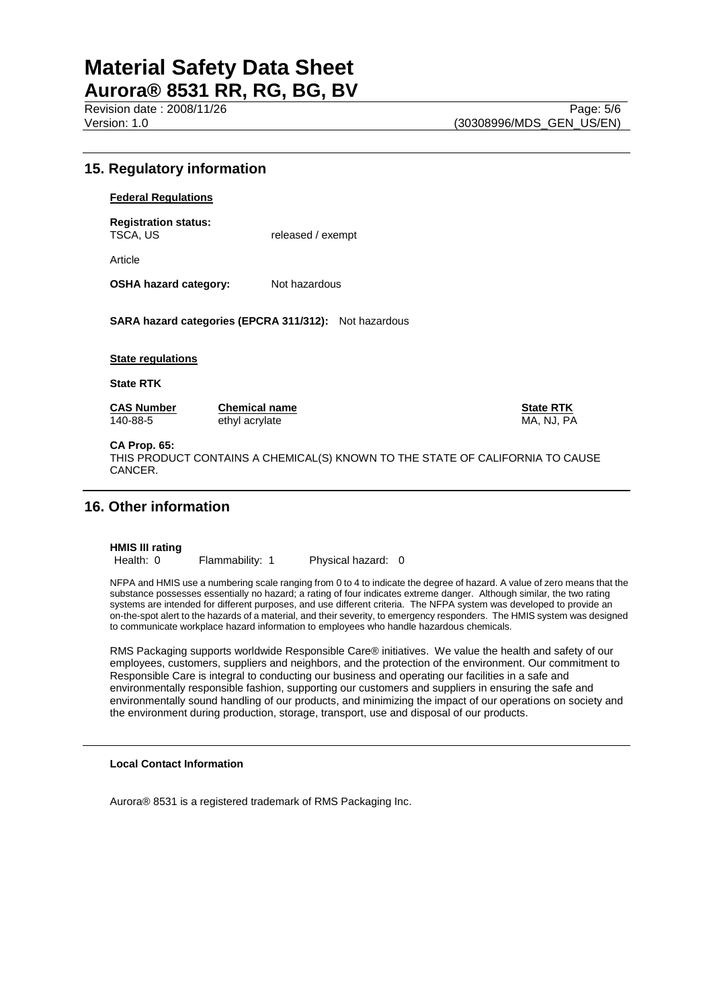Revision date : 2008/11/26 Version: 1.0 (30308996/MDS\_GEN\_US/EN)

## **15. Regulatory information**

**Federal Regulations**

**Registration status:**

released / exempt

Article

**OSHA hazard category:** Not hazardous

**SARA hazard categories (EPCRA 311/312):** Not hazardous

#### **State regulations**

**State RTK**

140-88-5 ethyl acrylate MA, NJ, PA

**CAS Number Chemical name CONSIDERTY CONSIDERTY CONSIDERTY** 

### **CA Prop. 65:**

THIS PRODUCT CONTAINS A CHEMICAL(S) KNOWN TO THE STATE OF CALIFORNIA TO CAUSE CANCER.

## **16. Other information**

# **HMIS III rating**

Flammability: 1 Physical hazard: 0

NFPA and HMIS use a numbering scale ranging from 0 to 4 to indicate the degree of hazard. A value of zero means that the substance possesses essentially no hazard; a rating of four indicates extreme danger. Although similar, the two rating systems are intended for different purposes, and use different criteria. The NFPA system was developed to provide an on-the-spot alert to the hazards of a material, and their severity, to emergency responders. The HMIS system was designed to communicate workplace hazard information to employees who handle hazardous chemicals.

RMS Packaging supports worldwide Responsible Care® initiatives. We value the health and safety of our employees, customers, suppliers and neighbors, and the protection of the environment. Our commitment to Responsible Care is integral to conducting our business and operating our facilities in a safe and environmentally responsible fashion, supporting our customers and suppliers in ensuring the safe and environmentally sound handling of our products, and minimizing the impact of our operations on society and the environment during production, storage, transport, use and disposal of our products.

#### **Local Contact Information**

Aurora® 8531 is a registered trademark of RMS Packaging Inc.